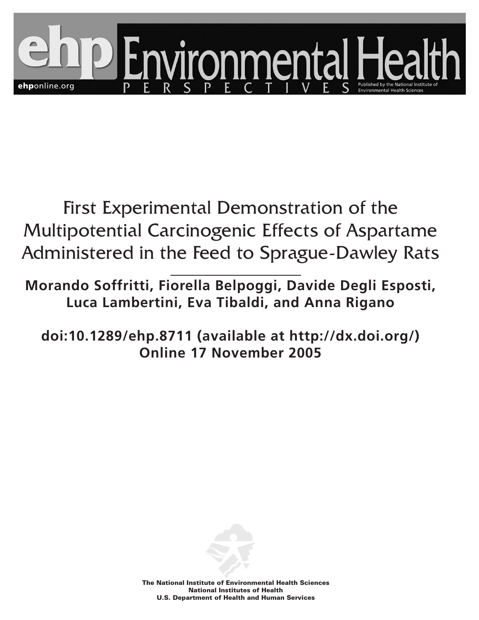

First Experimental Demonstration of the Multipotential Carcinogenic Effects of Aspartame Administered in the Feed to Sprague-Dawley Rats

**Morando Soffritti, Fiorella Belpoggi, Davide Degli Esposti, Luca Lambertini, Eva Tibaldi, and Anna Rigano**

**doi:10.1289/ehp.8711 (available at http://dx.doi.org/) Online 17 November 2005**



**The National Institute of Environmental Health Sciences National Institutes of Health U.S. Department of Health and Human Services**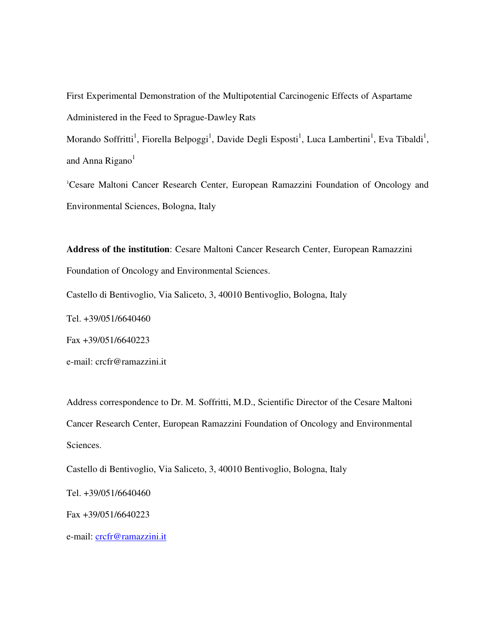First Experimental Demonstration of the Multipotential Carcinogenic Effects of Aspartame Administered in the Feed to Sprague-Dawley Rats

Morando Soffritti<sup>1</sup>, Fiorella Belpoggi<sup>1</sup>, Davide Degli Esposti<sup>1</sup>, Luca Lambertini<sup>1</sup>, Eva Tibaldi<sup>1</sup>, and Anna Rigano<sup>1</sup>

<sup>1</sup>Cesare Maltoni Cancer Research Center, European Ramazzini Foundation of Oncology and Environmental Sciences, Bologna, Italy

**Address of the institution**: Cesare Maltoni Cancer Research Center, European Ramazzini Foundation of Oncology and Environmental Sciences.

Castello di Bentivoglio, Via Saliceto, 3, 40010 Bentivoglio, Bologna, Italy

Tel. +39/051/6640460

Fax +39/051/6640223

e-mail: crcfr@ramazzini.it

Address correspondence to Dr. M. Soffritti, M.D., Scientific Director of the Cesare Maltoni Cancer Research Center, European Ramazzini Foundation of Oncology and Environmental Sciences.

Castello di Bentivoglio, Via Saliceto, 3, 40010 Bentivoglio, Bologna, Italy

Tel. +39/051/6640460

Fax +39/051/6640223

e-mail: crcfr@ramazzini.it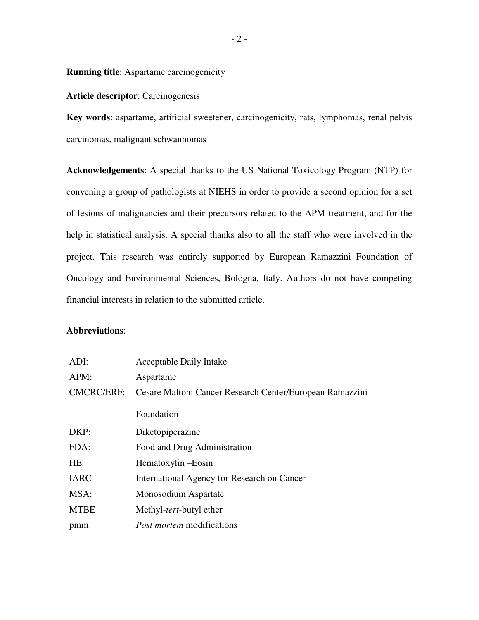**Running title**: Aspartame carcinogenicity

## **Article descriptor**: Carcinogenesis

**Key words**: aspartame, artificial sweetener, carcinogenicity, rats, lymphomas, renal pelvis carcinomas, malignant schwannomas

**Acknowledgements**: A special thanks to the US National Toxicology Program (NTP) for convening a group of pathologists at NIEHS in order to provide a second opinion for a set of lesions of malignancies and their precursors related to the APM treatment, and for the help in statistical analysis. A special thanks also to all the staff who were involved in the project. This research was entirely supported by European Ramazzini Foundation of Oncology and Environmental Sciences, Bologna, Italy. Authors do not have competing financial interests in relation to the submitted article.

### **Abbreviations**:

| ADI:              | <b>Acceptable Daily Intake</b>                           |
|-------------------|----------------------------------------------------------|
| APM:              | Aspartame                                                |
| <b>CMCRC/ERF:</b> | Cesare Maltoni Cancer Research Center/European Ramazzini |
|                   | Foundation                                               |
| DKP:              | Diketopiperazine                                         |
| FDA:              | Food and Drug Administration                             |
| HE:               | Hematoxylin – Eosin                                      |
| <b>IARC</b>       | International Agency for Research on Cancer              |
| MSA:              | Monosodium Aspartate                                     |
| <b>MTBE</b>       | Methyl- <i>tert</i> -butyl ether                         |
| pmm               | <i>Post mortem</i> modifications                         |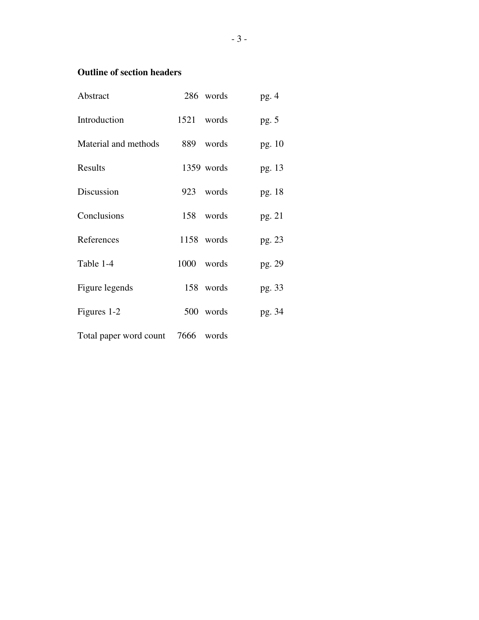# **Outline of section headers**

| Abstract                          | 286 words  | pg.4    |
|-----------------------------------|------------|---------|
| Introduction                      | 1521 words | pg. $5$ |
| Material and methods              | 889 words  | pg. 10  |
| Results                           | 1359 words | pg. 13  |
| Discussion                        | 923 words  | pg. 18  |
| Conclusions                       | 158 words  | pg. 21  |
| References                        | 1158 words | pg. 23  |
| Table 1-4                         | 1000 words | pg. 29  |
| Figure legends                    | 158 words  | pg. 33  |
| Figures 1-2                       | 500 words  | pg. 34  |
| Total paper word count 7666 words |            |         |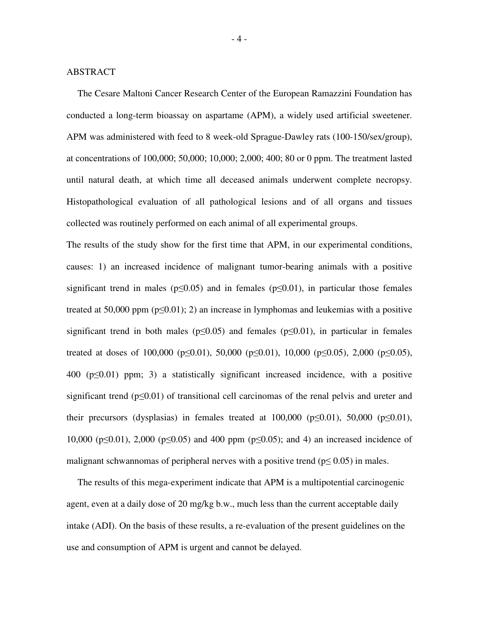#### ABSTRACT

The Cesare Maltoni Cancer Research Center of the European Ramazzini Foundation has conducted a long-term bioassay on aspartame (APM), a widely used artificial sweetener. APM was administered with feed to 8 week-old Sprague-Dawley rats (100-150/sex/group), at concentrations of 100,000; 50,000; 10,000; 2,000; 400; 80 or 0 ppm. The treatment lasted until natural death, at which time all deceased animals underwent complete necropsy. Histopathological evaluation of all pathological lesions and of all organs and tissues collected was routinely performed on each animal of all experimental groups.

The results of the study show for the first time that APM, in our experimental conditions, causes: 1) an increased incidence of malignant tumor-bearing animals with a positive significant trend in males ( $p\leq 0.05$ ) and in females ( $p\leq 0.01$ ), in particular those females treated at 50,000 ppm ( $p\leq 0.01$ ); 2) an increase in lymphomas and leukemias with a positive significant trend in both males ( $p \le 0.05$ ) and females ( $p \le 0.01$ ), in particular in females treated at doses of 100,000 ( $p \le 0.01$ ), 50,000 ( $p \le 0.01$ ), 10,000 ( $p \le 0.05$ ), 2,000 ( $p \le 0.05$ ),  $400$  ( $p \le 0.01$ ) ppm; 3) a statistically significant increased incidence, with a positive significant trend ( $p\leq 0.01$ ) of transitional cell carcinomas of the renal pelvis and ureter and their precursors (dysplasias) in females treated at  $100,000$  ( $p \le 0.01$ ),  $50,000$  ( $p \le 0.01$ ), 10,000 ( $p\leq 0.01$ ), 2,000 ( $p\leq 0.05$ ) and 400 ppm ( $p\leq 0.05$ ); and 4) an increased incidence of malignant schwannomas of peripheral nerves with a positive trend ( $p \le 0.05$ ) in males.

The results of this mega-experiment indicate that APM is a multipotential carcinogenic agent, even at a daily dose of 20 mg/kg b.w., much less than the current acceptable daily intake (ADI). On the basis of these results, a re-evaluation of the present guidelines on the use and consumption of APM is urgent and cannot be delayed.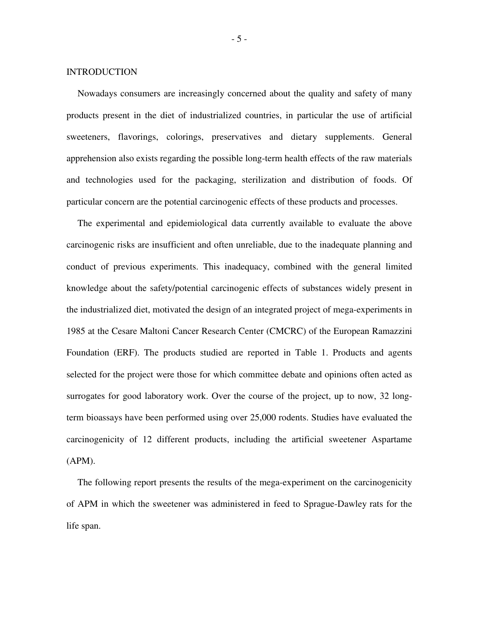#### INTRODUCTION

Nowadays consumers are increasingly concerned about the quality and safety of many products present in the diet of industrialized countries, in particular the use of artificial sweeteners, flavorings, colorings, preservatives and dietary supplements. General apprehension also exists regarding the possible long-term health effects of the raw materials and technologies used for the packaging, sterilization and distribution of foods. Of particular concern are the potential carcinogenic effects of these products and processes.

The experimental and epidemiological data currently available to evaluate the above carcinogenic risks are insufficient and often unreliable, due to the inadequate planning and conduct of previous experiments. This inadequacy, combined with the general limited knowledge about the safety/potential carcinogenic effects of substances widely present in the industrialized diet, motivated the design of an integrated project of mega-experiments in 1985 at the Cesare Maltoni Cancer Research Center (CMCRC) of the European Ramazzini Foundation (ERF). The products studied are reported in Table 1. Products and agents selected for the project were those for which committee debate and opinions often acted as surrogates for good laboratory work. Over the course of the project, up to now, 32 longterm bioassays have been performed using over 25,000 rodents. Studies have evaluated the carcinogenicity of 12 different products, including the artificial sweetener Aspartame (APM).

The following report presents the results of the mega-experiment on the carcinogenicity of APM in which the sweetener was administered in feed to Sprague-Dawley rats for the life span.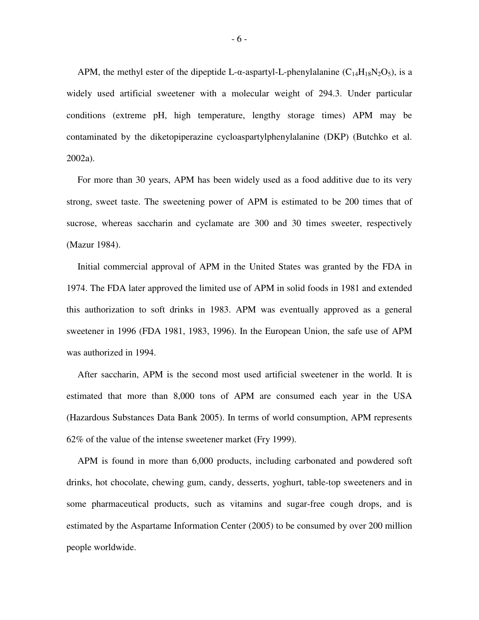APM, the methyl ester of the dipeptide L- $\alpha$ -aspartyl-L-phenylalanine (C<sub>14</sub>H<sub>18</sub>N<sub>2</sub>O<sub>5</sub>), is a widely used artificial sweetener with a molecular weight of 294.3. Under particular conditions (extreme pH, high temperature, lengthy storage times) APM may be contaminated by the diketopiperazine cycloaspartylphenylalanine (DKP) (Butchko et al. 2002a).

For more than 30 years, APM has been widely used as a food additive due to its very strong, sweet taste. The sweetening power of APM is estimated to be 200 times that of sucrose, whereas saccharin and cyclamate are 300 and 30 times sweeter, respectively (Mazur 1984).

Initial commercial approval of APM in the United States was granted by the FDA in 1974. The FDA later approved the limited use of APM in solid foods in 1981 and extended this authorization to soft drinks in 1983. APM was eventually approved as a general sweetener in 1996 (FDA 1981, 1983, 1996). In the European Union, the safe use of APM was authorized in 1994.

After saccharin, APM is the second most used artificial sweetener in the world. It is estimated that more than 8,000 tons of APM are consumed each year in the USA (Hazardous Substances Data Bank 2005). In terms of world consumption, APM represents 62% of the value of the intense sweetener market (Fry 1999).

APM is found in more than 6,000 products, including carbonated and powdered soft drinks, hot chocolate, chewing gum, candy, desserts, yoghurt, table-top sweeteners and in some pharmaceutical products, such as vitamins and sugar-free cough drops, and is estimated by the Aspartame Information Center (2005) to be consumed by over 200 million people worldwide.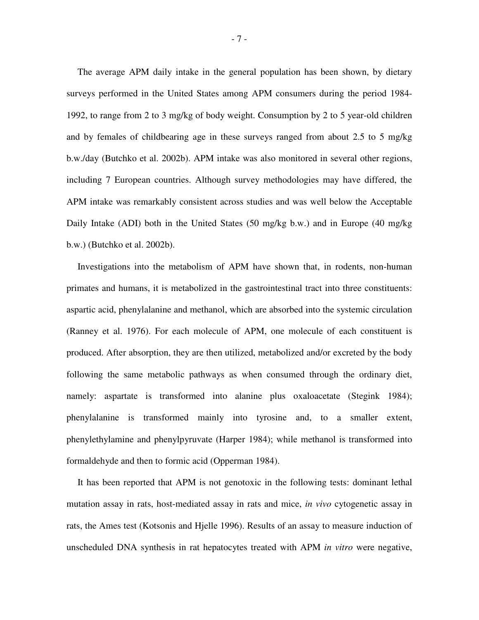The average APM daily intake in the general population has been shown, by dietary surveys performed in the United States among APM consumers during the period 1984- 1992, to range from 2 to 3 mg/kg of body weight. Consumption by 2 to 5 year-old children and by females of childbearing age in these surveys ranged from about 2.5 to 5 mg/kg b.w./day (Butchko et al. 2002b). APM intake was also monitored in several other regions, including 7 European countries. Although survey methodologies may have differed, the APM intake was remarkably consistent across studies and was well below the Acceptable Daily Intake (ADI) both in the United States (50 mg/kg b.w.) and in Europe (40 mg/kg b.w.) (Butchko et al. 2002b).

Investigations into the metabolism of APM have shown that, in rodents, non-human primates and humans, it is metabolized in the gastrointestinal tract into three constituents: aspartic acid, phenylalanine and methanol, which are absorbed into the systemic circulation (Ranney et al. 1976). For each molecule of APM, one molecule of each constituent is produced. After absorption, they are then utilized, metabolized and/or excreted by the body following the same metabolic pathways as when consumed through the ordinary diet, namely: aspartate is transformed into alanine plus oxaloacetate (Stegink 1984); phenylalanine is transformed mainly into tyrosine and, to a smaller extent, phenylethylamine and phenylpyruvate (Harper 1984); while methanol is transformed into formaldehyde and then to formic acid (Opperman 1984).

It has been reported that APM is not genotoxic in the following tests: dominant lethal mutation assay in rats, host-mediated assay in rats and mice, *in vivo* cytogenetic assay in rats, the Ames test (Kotsonis and Hjelle 1996). Results of an assay to measure induction of unscheduled DNA synthesis in rat hepatocytes treated with APM *in vitro* were negative,

- 7 -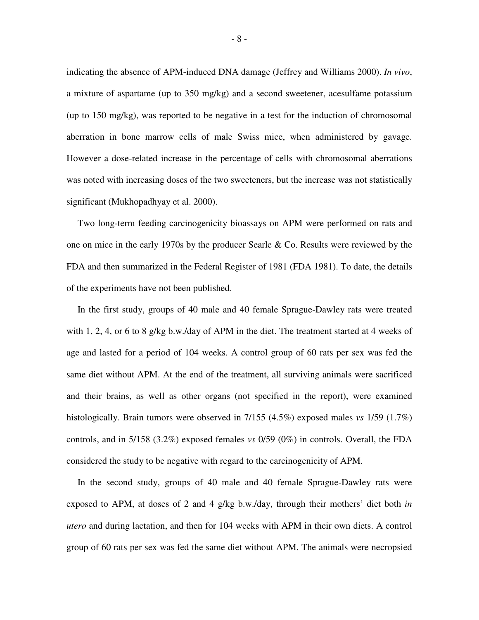indicating the absence of APM-induced DNA damage (Jeffrey and Williams 2000). *In vivo*, a mixture of aspartame (up to 350 mg/kg) and a second sweetener, acesulfame potassium (up to 150 mg/kg), was reported to be negative in a test for the induction of chromosomal aberration in bone marrow cells of male Swiss mice, when administered by gavage. However a dose-related increase in the percentage of cells with chromosomal aberrations was noted with increasing doses of the two sweeteners, but the increase was not statistically significant (Mukhopadhyay et al. 2000).

Two long-term feeding carcinogenicity bioassays on APM were performed on rats and one on mice in the early 1970s by the producer Searle & Co. Results were reviewed by the FDA and then summarized in the Federal Register of 1981 (FDA 1981). To date, the details of the experiments have not been published.

In the first study, groups of 40 male and 40 female Sprague-Dawley rats were treated with 1, 2, 4, or 6 to 8 g/kg b.w./day of APM in the diet. The treatment started at 4 weeks of age and lasted for a period of 104 weeks. A control group of 60 rats per sex was fed the same diet without APM. At the end of the treatment, all surviving animals were sacrificed and their brains, as well as other organs (not specified in the report), were examined histologically. Brain tumors were observed in 7/155 (4.5%) exposed males *vs* 1/59 (1.7%) controls, and in 5/158 (3.2%) exposed females *vs* 0/59 (0%) in controls. Overall, the FDA considered the study to be negative with regard to the carcinogenicity of APM.

In the second study, groups of 40 male and 40 female Sprague-Dawley rats were exposed to APM, at doses of 2 and 4 g/kg b.w./day, through their mothers' diet both *in utero* and during lactation, and then for 104 weeks with APM in their own diets. A control group of 60 rats per sex was fed the same diet without APM. The animals were necropsied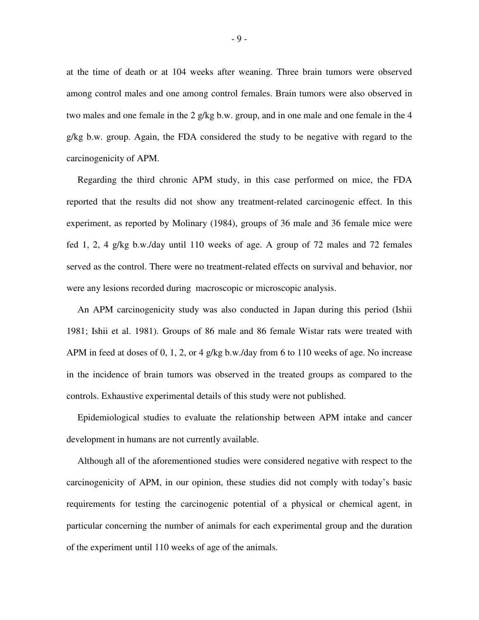at the time of death or at 104 weeks after weaning. Three brain tumors were observed among control males and one among control females. Brain tumors were also observed in two males and one female in the 2 g/kg b.w. group, and in one male and one female in the 4 g/kg b.w. group. Again, the FDA considered the study to be negative with regard to the carcinogenicity of APM.

Regarding the third chronic APM study, in this case performed on mice, the FDA reported that the results did not show any treatment-related carcinogenic effect. In this experiment, as reported by Molinary (1984), groups of 36 male and 36 female mice were fed 1, 2, 4 g/kg b.w./day until 110 weeks of age. A group of 72 males and 72 females served as the control. There were no treatment-related effects on survival and behavior, nor were any lesions recorded during macroscopic or microscopic analysis.

An APM carcinogenicity study was also conducted in Japan during this period (Ishii 1981; Ishii et al. 1981). Groups of 86 male and 86 female Wistar rats were treated with APM in feed at doses of 0, 1, 2, or 4 g/kg b.w./day from 6 to 110 weeks of age. No increase in the incidence of brain tumors was observed in the treated groups as compared to the controls. Exhaustive experimental details of this study were not published.

Epidemiological studies to evaluate the relationship between APM intake and cancer development in humans are not currently available.

Although all of the aforementioned studies were considered negative with respect to the carcinogenicity of APM, in our opinion, these studies did not comply with today's basic requirements for testing the carcinogenic potential of a physical or chemical agent, in particular concerning the number of animals for each experimental group and the duration of the experiment until 110 weeks of age of the animals.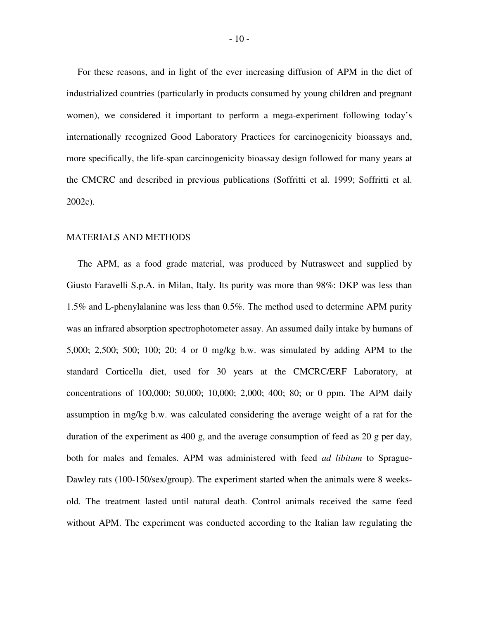For these reasons, and in light of the ever increasing diffusion of APM in the diet of industrialized countries (particularly in products consumed by young children and pregnant women), we considered it important to perform a mega-experiment following today's internationally recognized Good Laboratory Practices for carcinogenicity bioassays and, more specifically, the life-span carcinogenicity bioassay design followed for many years at the CMCRC and described in previous publications (Soffritti et al. 1999; Soffritti et al. 2002c).

## MATERIALS AND METHODS

The APM, as a food grade material, was produced by Nutrasweet and supplied by Giusto Faravelli S.p.A. in Milan, Italy. Its purity was more than 98%: DKP was less than 1.5% and L-phenylalanine was less than 0.5%. The method used to determine APM purity was an infrared absorption spectrophotometer assay. An assumed daily intake by humans of 5,000; 2,500; 500; 100; 20; 4 or 0 mg/kg b.w. was simulated by adding APM to the standard Corticella diet, used for 30 years at the CMCRC/ERF Laboratory, at concentrations of 100,000; 50,000; 10,000; 2,000; 400; 80; or 0 ppm. The APM daily assumption in mg/kg b.w. was calculated considering the average weight of a rat for the duration of the experiment as 400 g, and the average consumption of feed as 20 g per day, both for males and females. APM was administered with feed *ad libitum* to Sprague-Dawley rats (100-150/sex/group). The experiment started when the animals were 8 weeksold. The treatment lasted until natural death. Control animals received the same feed without APM. The experiment was conducted according to the Italian law regulating the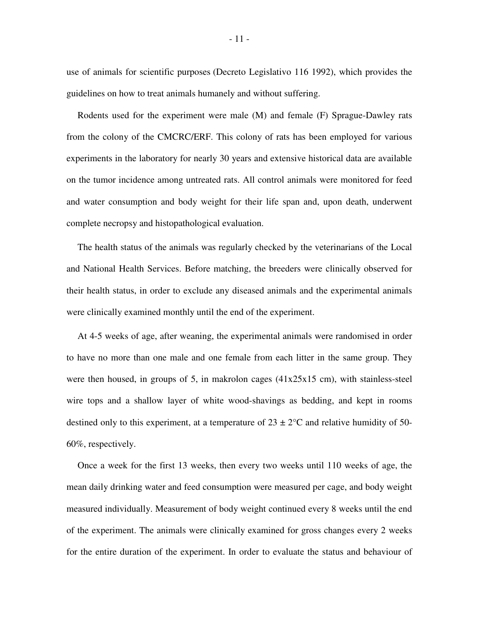use of animals for scientific purposes (Decreto Legislativo 116 1992), which provides the guidelines on how to treat animals humanely and without suffering.

Rodents used for the experiment were male (M) and female (F) Sprague-Dawley rats from the colony of the CMCRC/ERF. This colony of rats has been employed for various experiments in the laboratory for nearly 30 years and extensive historical data are available on the tumor incidence among untreated rats. All control animals were monitored for feed and water consumption and body weight for their life span and, upon death, underwent complete necropsy and histopathological evaluation.

The health status of the animals was regularly checked by the veterinarians of the Local and National Health Services. Before matching, the breeders were clinically observed for their health status, in order to exclude any diseased animals and the experimental animals were clinically examined monthly until the end of the experiment.

At 4-5 weeks of age, after weaning, the experimental animals were randomised in order to have no more than one male and one female from each litter in the same group. They were then housed, in groups of 5, in makrolon cages (41x25x15 cm), with stainless-steel wire tops and a shallow layer of white wood-shavings as bedding, and kept in rooms destined only to this experiment, at a temperature of  $23 \pm 2$ °C and relative humidity of 50-60%, respectively.

Once a week for the first 13 weeks, then every two weeks until 110 weeks of age, the mean daily drinking water and feed consumption were measured per cage, and body weight measured individually. Measurement of body weight continued every 8 weeks until the end of the experiment. The animals were clinically examined for gross changes every 2 weeks for the entire duration of the experiment. In order to evaluate the status and behaviour of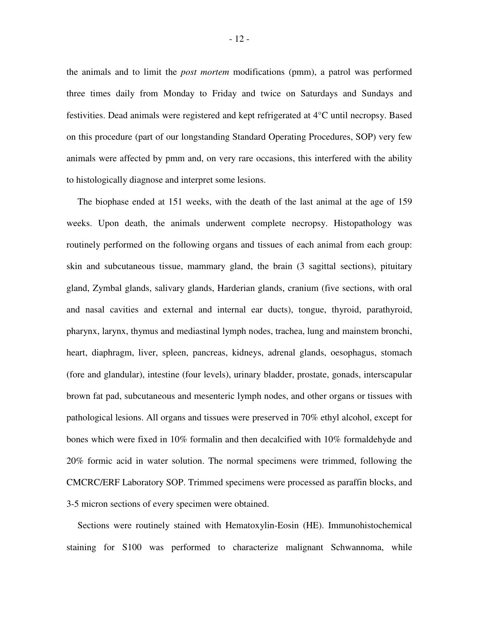the animals and to limit the *post mortem* modifications (pmm), a patrol was performed three times daily from Monday to Friday and twice on Saturdays and Sundays and festivities. Dead animals were registered and kept refrigerated at 4°C until necropsy. Based on this procedure (part of our longstanding Standard Operating Procedures, SOP) very few animals were affected by pmm and, on very rare occasions, this interfered with the ability to histologically diagnose and interpret some lesions.

The biophase ended at 151 weeks, with the death of the last animal at the age of 159 weeks. Upon death, the animals underwent complete necropsy. Histopathology was routinely performed on the following organs and tissues of each animal from each group: skin and subcutaneous tissue, mammary gland, the brain (3 sagittal sections), pituitary gland, Zymbal glands, salivary glands, Harderian glands, cranium (five sections, with oral and nasal cavities and external and internal ear ducts), tongue, thyroid, parathyroid, pharynx, larynx, thymus and mediastinal lymph nodes, trachea, lung and mainstem bronchi, heart, diaphragm, liver, spleen, pancreas, kidneys, adrenal glands, oesophagus, stomach (fore and glandular), intestine (four levels), urinary bladder, prostate, gonads, interscapular brown fat pad, subcutaneous and mesenteric lymph nodes, and other organs or tissues with pathological lesions. All organs and tissues were preserved in 70% ethyl alcohol, except for bones which were fixed in 10% formalin and then decalcified with 10% formaldehyde and 20% formic acid in water solution. The normal specimens were trimmed, following the CMCRC/ERF Laboratory SOP. Trimmed specimens were processed as paraffin blocks, and 3-5 micron sections of every specimen were obtained.

Sections were routinely stained with Hematoxylin-Eosin (HE). Immunohistochemical staining for S100 was performed to characterize malignant Schwannoma, while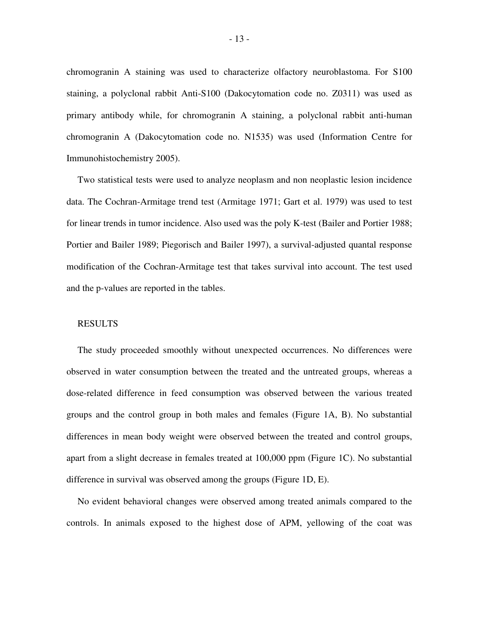chromogranin A staining was used to characterize olfactory neuroblastoma. For S100 staining, a polyclonal rabbit Anti-S100 (Dakocytomation code no. Z0311) was used as primary antibody while, for chromogranin A staining, a polyclonal rabbit anti-human chromogranin A (Dakocytomation code no. N1535) was used (Information Centre for Immunohistochemistry 2005).

Two statistical tests were used to analyze neoplasm and non neoplastic lesion incidence data. The Cochran-Armitage trend test (Armitage 1971; Gart et al. 1979) was used to test for linear trends in tumor incidence. Also used was the poly K-test (Bailer and Portier 1988; Portier and Bailer 1989; Piegorisch and Bailer 1997), a survival-adjusted quantal response modification of the Cochran-Armitage test that takes survival into account. The test used and the p-values are reported in the tables.

## RESULTS

The study proceeded smoothly without unexpected occurrences. No differences were observed in water consumption between the treated and the untreated groups, whereas a dose-related difference in feed consumption was observed between the various treated groups and the control group in both males and females (Figure 1A, B). No substantial differences in mean body weight were observed between the treated and control groups, apart from a slight decrease in females treated at 100,000 ppm (Figure 1C). No substantial difference in survival was observed among the groups (Figure 1D, E).

No evident behavioral changes were observed among treated animals compared to the controls. In animals exposed to the highest dose of APM, yellowing of the coat was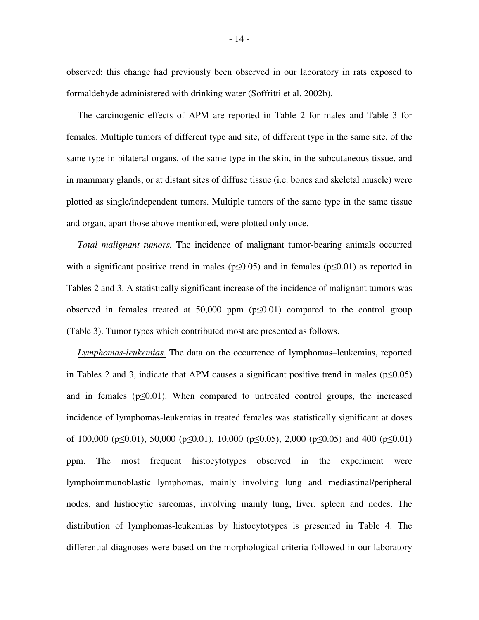observed: this change had previously been observed in our laboratory in rats exposed to formaldehyde administered with drinking water (Soffritti et al. 2002b).

The carcinogenic effects of APM are reported in Table 2 for males and Table 3 for females. Multiple tumors of different type and site, of different type in the same site, of the same type in bilateral organs, of the same type in the skin, in the subcutaneous tissue, and in mammary glands, or at distant sites of diffuse tissue (i.e. bones and skeletal muscle) were plotted as single/independent tumors. Multiple tumors of the same type in the same tissue and organ, apart those above mentioned, were plotted only once.

*Total malignant tumors.* The incidence of malignant tumor-bearing animals occurred with a significant positive trend in males ( $p\leq 0.05$ ) and in females ( $p\leq 0.01$ ) as reported in Tables 2 and 3. A statistically significant increase of the incidence of malignant tumors was observed in females treated at 50,000 ppm  $(p \le 0.01)$  compared to the control group (Table 3). Tumor types which contributed most are presented as follows.

*Lymphomas-leukemias.* The data on the occurrence of lymphomas–leukemias, reported in Tables 2 and 3, indicate that APM causes a significant positive trend in males ( $p \le 0.05$ ) and in females ( $p\leq 0.01$ ). When compared to untreated control groups, the increased incidence of lymphomas-leukemias in treated females was statistically significant at doses of 100,000 ( $p \le 0.01$ ), 50,000 ( $p \le 0.01$ ), 10,000 ( $p \le 0.05$ ), 2,000 ( $p \le 0.05$ ) and 400 ( $p \le 0.01$ ) ppm. The most frequent histocytotypes observed in the experiment were lymphoimmunoblastic lymphomas, mainly involving lung and mediastinal/peripheral nodes, and histiocytic sarcomas, involving mainly lung, liver, spleen and nodes. The distribution of lymphomas-leukemias by histocytotypes is presented in Table 4. The differential diagnoses were based on the morphological criteria followed in our laboratory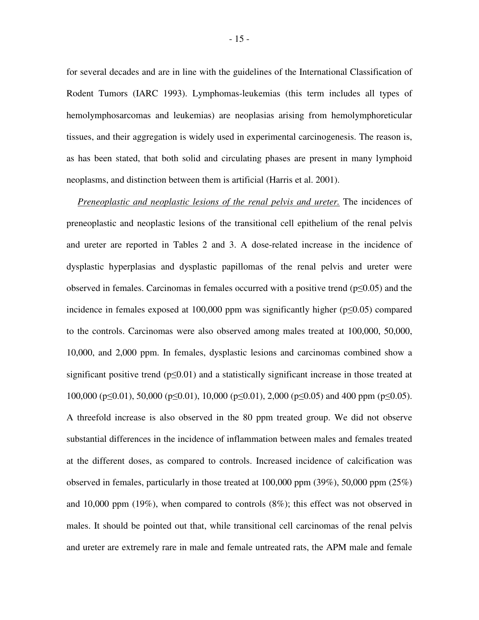for several decades and are in line with the guidelines of the International Classification of Rodent Tumors (IARC 1993). Lymphomas-leukemias (this term includes all types of hemolymphosarcomas and leukemias) are neoplasias arising from hemolymphoreticular tissues, and their aggregation is widely used in experimental carcinogenesis. The reason is, as has been stated, that both solid and circulating phases are present in many lymphoid neoplasms, and distinction between them is artificial (Harris et al. 2001).

*Preneoplastic and neoplastic lesions of the renal pelvis and ureter.* The incidences of preneoplastic and neoplastic lesions of the transitional cell epithelium of the renal pelvis and ureter are reported in Tables 2 and 3. A dose-related increase in the incidence of dysplastic hyperplasias and dysplastic papillomas of the renal pelvis and ureter were observed in females. Carcinomas in females occurred with a positive trend ( $p\leq 0.05$ ) and the incidence in females exposed at  $100,000$  ppm was significantly higher ( $p \le 0.05$ ) compared to the controls. Carcinomas were also observed among males treated at 100,000, 50,000, 10,000, and 2,000 ppm. In females, dysplastic lesions and carcinomas combined show a significant positive trend ( $p \le 0.01$ ) and a statistically significant increase in those treated at 100,000 ( $p \le 0.01$ ), 50,000 ( $p \le 0.01$ ), 10,000 ( $p \le 0.01$ ), 2,000 ( $p \le 0.05$ ) and 400 ppm ( $p \le 0.05$ ). A threefold increase is also observed in the 80 ppm treated group. We did not observe substantial differences in the incidence of inflammation between males and females treated at the different doses, as compared to controls. Increased incidence of calcification was observed in females, particularly in those treated at 100,000 ppm (39%), 50,000 ppm (25%) and 10,000 ppm (19%), when compared to controls (8%); this effect was not observed in males. It should be pointed out that, while transitional cell carcinomas of the renal pelvis and ureter are extremely rare in male and female untreated rats, the APM male and female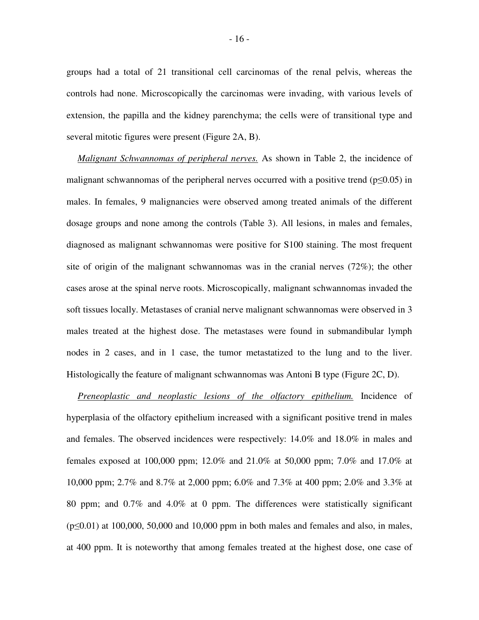groups had a total of 21 transitional cell carcinomas of the renal pelvis, whereas the controls had none. Microscopically the carcinomas were invading, with various levels of extension, the papilla and the kidney parenchyma; the cells were of transitional type and several mitotic figures were present (Figure 2A, B).

*Malignant Schwannomas of peripheral nerves.* As shown in Table 2, the incidence of malignant schwannomas of the peripheral nerves occurred with a positive trend ( $p\leq 0.05$ ) in males. In females, 9 malignancies were observed among treated animals of the different dosage groups and none among the controls (Table 3). All lesions, in males and females, diagnosed as malignant schwannomas were positive for S100 staining. The most frequent site of origin of the malignant schwannomas was in the cranial nerves (72%); the other cases arose at the spinal nerve roots. Microscopically, malignant schwannomas invaded the soft tissues locally. Metastases of cranial nerve malignant schwannomas were observed in 3 males treated at the highest dose. The metastases were found in submandibular lymph nodes in 2 cases, and in 1 case, the tumor metastatized to the lung and to the liver. Histologically the feature of malignant schwannomas was Antoni B type (Figure 2C, D).

*Preneoplastic and neoplastic lesions of the olfactory epithelium.* Incidence of hyperplasia of the olfactory epithelium increased with a significant positive trend in males and females. The observed incidences were respectively: 14.0% and 18.0% in males and females exposed at 100,000 ppm; 12.0% and 21.0% at 50,000 ppm; 7.0% and 17.0% at 10,000 ppm; 2.7% and 8.7% at 2,000 ppm; 6.0% and 7.3% at 400 ppm; 2.0% and 3.3% at 80 ppm; and 0.7% and 4.0% at 0 ppm. The differences were statistically significant  $(p\leq 0.01)$  at 100,000, 50,000 and 10,000 ppm in both males and females and also, in males, at 400 ppm. It is noteworthy that among females treated at the highest dose, one case of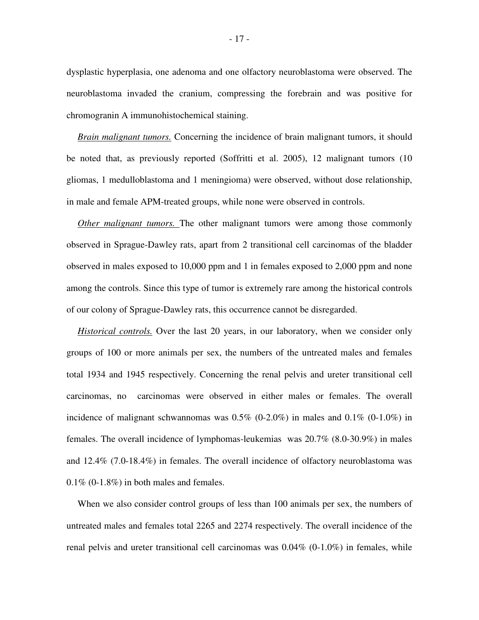dysplastic hyperplasia, one adenoma and one olfactory neuroblastoma were observed. The neuroblastoma invaded the cranium, compressing the forebrain and was positive for chromogranin A immunohistochemical staining.

*Brain malignant tumors.* Concerning the incidence of brain malignant tumors, it should be noted that, as previously reported (Soffritti et al. 2005), 12 malignant tumors (10 gliomas, 1 medulloblastoma and 1 meningioma) were observed, without dose relationship, in male and female APM-treated groups, while none were observed in controls.

*Other malignant tumors.* The other malignant tumors were among those commonly observed in Sprague-Dawley rats, apart from 2 transitional cell carcinomas of the bladder observed in males exposed to 10,000 ppm and 1 in females exposed to 2,000 ppm and none among the controls. Since this type of tumor is extremely rare among the historical controls of our colony of Sprague-Dawley rats, this occurrence cannot be disregarded.

*Historical controls.* Over the last 20 years, in our laboratory, when we consider only groups of 100 or more animals per sex, the numbers of the untreated males and females total 1934 and 1945 respectively. Concerning the renal pelvis and ureter transitional cell carcinomas, no carcinomas were observed in either males or females. The overall incidence of malignant schwannomas was 0.5% (0-2.0%) in males and 0.1% (0-1.0%) in females. The overall incidence of lymphomas-leukemias was 20.7% (8.0-30.9%) in males and 12.4% (7.0-18.4%) in females. The overall incidence of olfactory neuroblastoma was 0.1% (0-1.8%) in both males and females.

When we also consider control groups of less than 100 animals per sex, the numbers of untreated males and females total 2265 and 2274 respectively. The overall incidence of the renal pelvis and ureter transitional cell carcinomas was  $0.04\%$   $(0.1.0\%)$  in females, while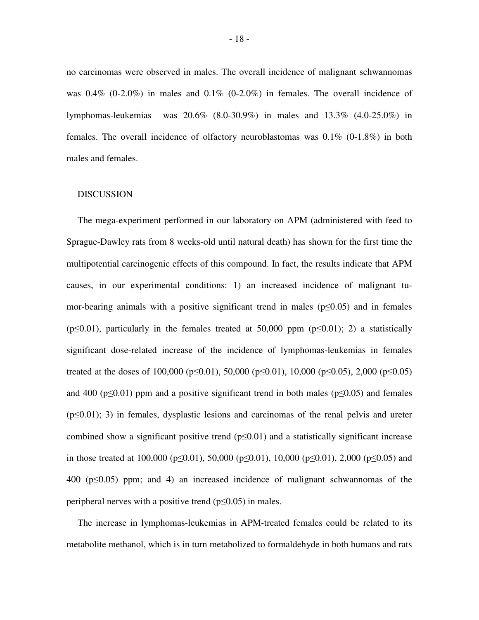no carcinomas were observed in males. The overall incidence of malignant schwannomas was  $0.4\%$  (0-2.0%) in males and  $0.1\%$  (0-2.0%) in females. The overall incidence of lymphomas-leukemias was 20.6% (8.0-30.9%) in males and 13.3% (4.0-25.0%) in females. The overall incidence of olfactory neuroblastomas was  $0.1\%$  (0-1.8%) in both males and females.

#### DISCUSSION

The mega-experiment performed in our laboratory on APM (administered with feed to Sprague-Dawley rats from 8 weeks-old until natural death) has shown for the first time the multipotential carcinogenic effects of this compound. In fact, the results indicate that APM causes, in our experimental conditions: 1) an increased incidence of malignant tumor-bearing animals with a positive significant trend in males ( $p\leq 0.05$ ) and in females ( $p\leq 0.01$ ), particularly in the females treated at 50,000 ppm ( $p\leq 0.01$ ); 2) a statistically significant dose-related increase of the incidence of lymphomas-leukemias in females treated at the doses of 100,000 ( $p \le 0.01$ ), 50,000 ( $p \le 0.01$ ), 10,000 ( $p \le 0.05$ ), 2,000 ( $p \le 0.05$ ) and 400 ( $p\leq 0.01$ ) ppm and a positive significant trend in both males ( $p\leq 0.05$ ) and females  $(p \le 0.01)$ ; 3) in females, dysplastic lesions and carcinomas of the renal pelvis and ureter combined show a significant positive trend  $(p \le 0.01)$  and a statistically significant increase in those treated at 100,000 ( $p \le 0.01$ ), 50,000 ( $p \le 0.01$ ), 10,000 ( $p \le 0.01$ ), 2,000 ( $p \le 0.05$ ) and 400 ( $p\leq 0.05$ ) ppm; and 4) an increased incidence of malignant schwannomas of the peripheral nerves with a positive trend ( $p \le 0.05$ ) in males.

The increase in lymphomas-leukemias in APM-treated females could be related to its metabolite methanol, which is in turn metabolized to formaldehyde in both humans and rats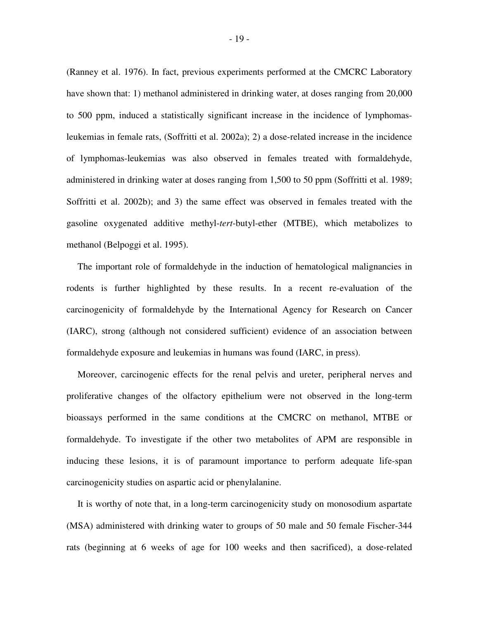(Ranney et al. 1976). In fact, previous experiments performed at the CMCRC Laboratory have shown that: 1) methanol administered in drinking water, at doses ranging from 20,000 to 500 ppm, induced a statistically significant increase in the incidence of lymphomasleukemias in female rats, (Soffritti et al. 2002a); 2) a dose-related increase in the incidence of lymphomas-leukemias was also observed in females treated with formaldehyde, administered in drinking water at doses ranging from 1,500 to 50 ppm (Soffritti et al. 1989; Soffritti et al. 2002b); and 3) the same effect was observed in females treated with the gasoline oxygenated additive methyl-*tert*-butyl-ether (MTBE), which metabolizes to methanol (Belpoggi et al. 1995).

The important role of formaldehyde in the induction of hematological malignancies in rodents is further highlighted by these results. In a recent re-evaluation of the carcinogenicity of formaldehyde by the International Agency for Research on Cancer (IARC), strong (although not considered sufficient) evidence of an association between formaldehyde exposure and leukemias in humans was found (IARC, in press).

Moreover, carcinogenic effects for the renal pelvis and ureter, peripheral nerves and proliferative changes of the olfactory epithelium were not observed in the long-term bioassays performed in the same conditions at the CMCRC on methanol, MTBE or formaldehyde. To investigate if the other two metabolites of APM are responsible in inducing these lesions, it is of paramount importance to perform adequate life-span carcinogenicity studies on aspartic acid or phenylalanine.

It is worthy of note that, in a long-term carcinogenicity study on monosodium aspartate (MSA) administered with drinking water to groups of 50 male and 50 female Fischer-344 rats (beginning at 6 weeks of age for 100 weeks and then sacrificed), a dose-related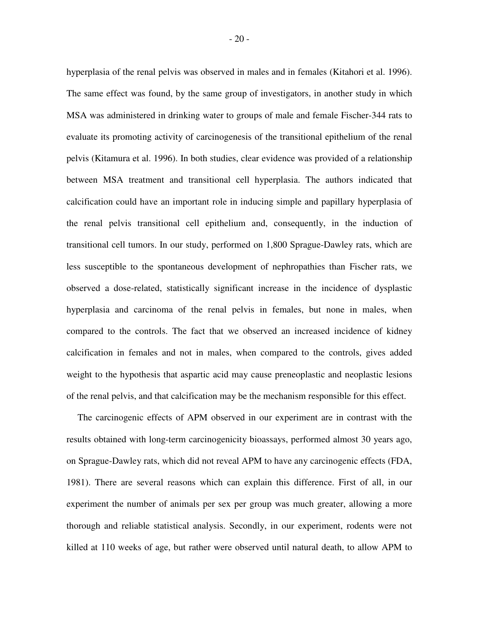hyperplasia of the renal pelvis was observed in males and in females (Kitahori et al. 1996). The same effect was found, by the same group of investigators, in another study in which MSA was administered in drinking water to groups of male and female Fischer-344 rats to evaluate its promoting activity of carcinogenesis of the transitional epithelium of the renal pelvis (Kitamura et al. 1996). In both studies, clear evidence was provided of a relationship between MSA treatment and transitional cell hyperplasia. The authors indicated that calcification could have an important role in inducing simple and papillary hyperplasia of the renal pelvis transitional cell epithelium and, consequently, in the induction of transitional cell tumors. In our study, performed on 1,800 Sprague-Dawley rats, which are less susceptible to the spontaneous development of nephropathies than Fischer rats, we observed a dose-related, statistically significant increase in the incidence of dysplastic hyperplasia and carcinoma of the renal pelvis in females, but none in males, when compared to the controls. The fact that we observed an increased incidence of kidney calcification in females and not in males, when compared to the controls, gives added weight to the hypothesis that aspartic acid may cause preneoplastic and neoplastic lesions of the renal pelvis, and that calcification may be the mechanism responsible for this effect.

The carcinogenic effects of APM observed in our experiment are in contrast with the results obtained with long-term carcinogenicity bioassays, performed almost 30 years ago, on Sprague-Dawley rats, which did not reveal APM to have any carcinogenic effects (FDA, 1981). There are several reasons which can explain this difference. First of all, in our experiment the number of animals per sex per group was much greater, allowing a more thorough and reliable statistical analysis. Secondly, in our experiment, rodents were not killed at 110 weeks of age, but rather were observed until natural death, to allow APM to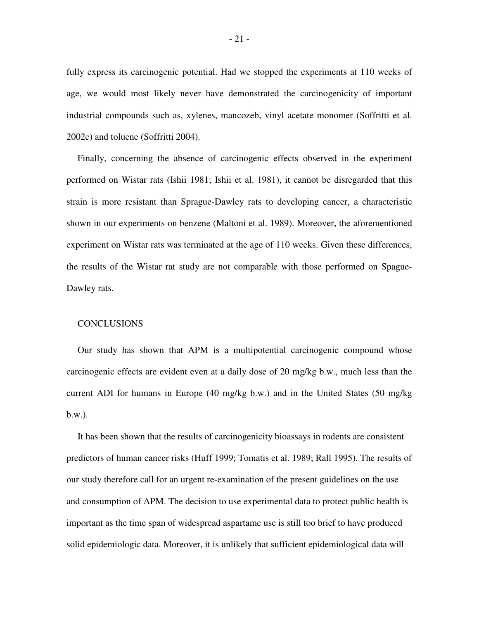fully express its carcinogenic potential. Had we stopped the experiments at 110 weeks of age, we would most likely never have demonstrated the carcinogenicity of important industrial compounds such as, xylenes, mancozeb, vinyl acetate monomer (Soffritti et al. 2002c) and toluene (Soffritti 2004).

Finally, concerning the absence of carcinogenic effects observed in the experiment performed on Wistar rats (Ishii 1981; Ishii et al. 1981), it cannot be disregarded that this strain is more resistant than Sprague-Dawley rats to developing cancer, a characteristic shown in our experiments on benzene (Maltoni et al. 1989). Moreover, the aforementioned experiment on Wistar rats was terminated at the age of 110 weeks. Given these differences, the results of the Wistar rat study are not comparable with those performed on Spague-Dawley rats.

### **CONCLUSIONS**

Our study has shown that APM is a multipotential carcinogenic compound whose carcinogenic effects are evident even at a daily dose of 20 mg/kg b.w., much less than the current ADI for humans in Europe (40 mg/kg b.w.) and in the United States (50 mg/kg b.w.).

It has been shown that the results of carcinogenicity bioassays in rodents are consistent predictors of human cancer risks (Huff 1999; Tomatis et al. 1989; Rall 1995). The results of our study therefore call for an urgent re-examination of the present guidelines on the use and consumption of APM. The decision to use experimental data to protect public health is important as the time span of widespread aspartame use is still too brief to have produced solid epidemiologic data. Moreover, it is unlikely that sufficient epidemiological data will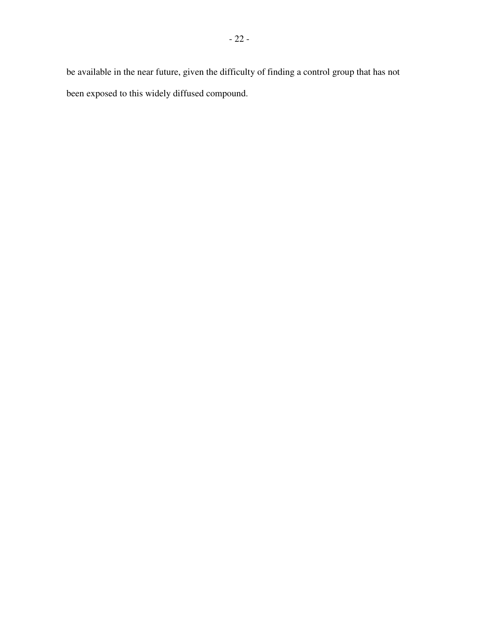be available in the near future, given the difficulty of finding a control group that has not been exposed to this widely diffused compound.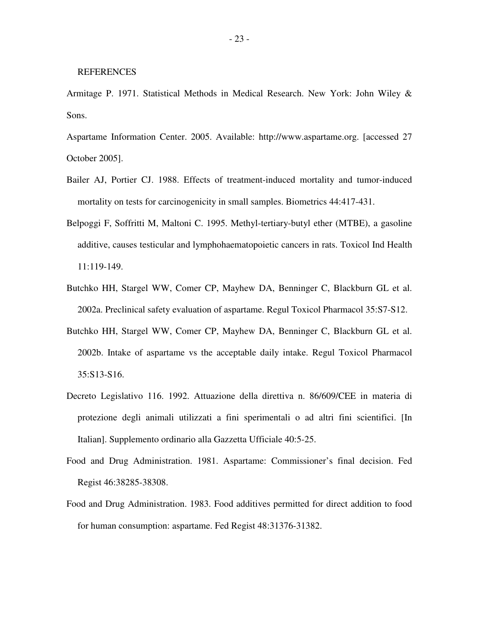- Armitage P. 1971. Statistical Methods in Medical Research. New York: John Wiley & Sons.
- Aspartame Information Center. 2005. Available: http://www.aspartame.org. [accessed 27 October 2005].
- Bailer AJ, Portier CJ. 1988. Effects of treatment-induced mortality and tumor-induced mortality on tests for carcinogenicity in small samples. Biometrics 44:417-431.
- Belpoggi F, Soffritti M, Maltoni C. 1995. Methyl-tertiary-butyl ether (MTBE), a gasoline additive, causes testicular and lymphohaematopoietic cancers in rats. Toxicol Ind Health 11:119-149.
- Butchko HH, Stargel WW, Comer CP, Mayhew DA, Benninger C, Blackburn GL et al. 2002a. Preclinical safety evaluation of aspartame. Regul Toxicol Pharmacol 35:S7-S12.
- Butchko HH, Stargel WW, Comer CP, Mayhew DA, Benninger C, Blackburn GL et al. 2002b. Intake of aspartame vs the acceptable daily intake. Regul Toxicol Pharmacol 35:S13-S16.
- Decreto Legislativo 116. 1992. Attuazione della direttiva n. 86/609/CEE in materia di protezione degli animali utilizzati a fini sperimentali o ad altri fini scientifici. [In Italian]. Supplemento ordinario alla Gazzetta Ufficiale 40:5-25.
- Food and Drug Administration. 1981. Aspartame: Commissioner's final decision. Fed Regist 46:38285-38308.
- Food and Drug Administration. 1983. Food additives permitted for direct addition to food for human consumption: aspartame. Fed Regist 48:31376-31382.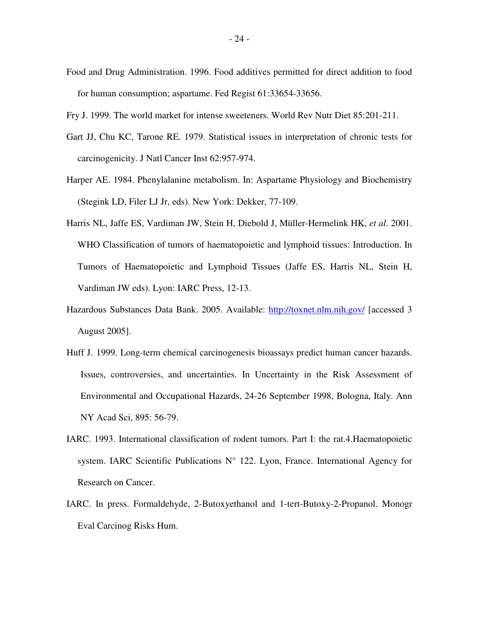- Food and Drug Administration. 1996. Food additives permitted for direct addition to food for human consumption; aspartame. Fed Regist 61:33654-33656.
- Fry J. 1999. The world market for intense sweeteners. World Rev Nutr Diet 85:201-211.
- Gart JJ, Chu KC, Tarone RE. 1979. Statistical issues in interpretation of chronic tests for carcinogenicity. J Natl Cancer Inst 62:957-974.
- Harper AE. 1984. Phenylalanine metabolism. In: Aspartame Physiology and Biochemistry (Stegink LD, Filer LJ Jr, eds). New York: Dekker, 77-109.
- Harris NL, Jaffe ES, Vardiman JW, Stein H, Diebold J, Müller-Hermelink HK, *et al*. 2001. WHO Classification of tumors of haematopoietic and lymphoid tissues: Introduction. In Tumors of Haematopoietic and Lymphoid Tissues (Jaffe ES, Harris NL, Stein H, Vardiman JW eds). Lyon: IARC Press, 12-13.
- Hazardous Substances Data Bank. 2005. Available: http://toxnet.nlm.nih.gov/ [accessed 3 August 2005].
- Huff J. 1999. Long-term chemical carcinogenesis bioassays predict human cancer hazards. Issues, controversies, and uncertainties. In Uncertainty in the Risk Assessment of Environmental and Occupational Hazards, 24-26 September 1998, Bologna, Italy. Ann NY Acad Sci, 895: 56-79.
- IARC. 1993. International classification of rodent tumors. Part I: the rat.4.Haematopoietic system. IARC Scientific Publications N° 122. Lyon, France. International Agency for Research on Cancer.
- IARC. In press. Formaldehyde, 2-Butoxyethanol and 1-tert-Butoxy-2-Propanol. Monogr Eval Carcinog Risks Hum.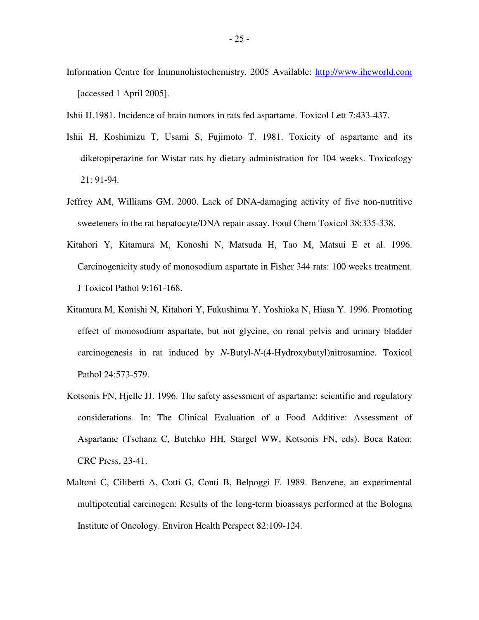- Information Centre for Immunohistochemistry. 2005 Available: http://www.ihcworld.com [accessed 1 April 2005].
- Ishii H.1981. Incidence of brain tumors in rats fed aspartame. Toxicol Lett 7:433-437.
- Ishii H, Koshimizu T, Usami S, Fujimoto T. 1981. Toxicity of aspartame and its diketopiperazine for Wistar rats by dietary administration for 104 weeks. Toxicology 21: 91-94.
- Jeffrey AM, Williams GM. 2000. Lack of DNA-damaging activity of five non-nutritive sweeteners in the rat hepatocyte/DNA repair assay. Food Chem Toxicol 38:335-338.
- Kitahori Y, Kitamura M, Konoshi N, Matsuda H, Tao M, Matsui E et al. 1996. Carcinogenicity study of monosodium aspartate in Fisher 344 rats: 100 weeks treatment. J Toxicol Pathol 9:161-168.
- Kitamura M, Konishi N, Kitahori Y, Fukushima Y, Yoshioka N, Hiasa Y. 1996. Promoting effect of monosodium aspartate, but not glycine, on renal pelvis and urinary bladder carcinogenesis in rat induced by *N*-Butyl-*N-*(4-Hydroxybutyl)nitrosamine. Toxicol Pathol 24:573-579.
- Kotsonis FN, Hjelle JJ. 1996. The safety assessment of aspartame: scientific and regulatory considerations. In: The Clinical Evaluation of a Food Additive: Assessment of Aspartame (Tschanz C, Butchko HH, Stargel WW, Kotsonis FN, eds). Boca Raton: CRC Press, 23-41.
- Maltoni C, Ciliberti A, Cotti G, Conti B, Belpoggi F. 1989. Benzene, an experimental multipotential carcinogen: Results of the long-term bioassays performed at the Bologna Institute of Oncology. Environ Health Perspect 82:109-124.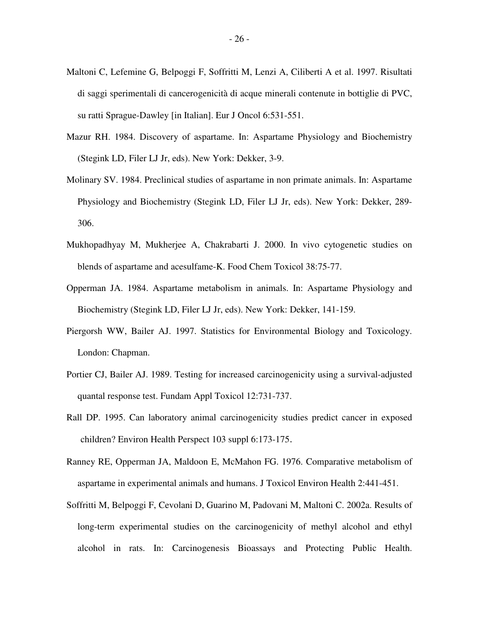- Maltoni C, Lefemine G, Belpoggi F, Soffritti M, Lenzi A, Ciliberti A et al. 1997. Risultati di saggi sperimentali di cancerogenicità di acque minerali contenute in bottiglie di PVC, su ratti Sprague-Dawley [in Italian]. Eur J Oncol 6:531-551.
- Mazur RH. 1984. Discovery of aspartame. In: Aspartame Physiology and Biochemistry (Stegink LD, Filer LJ Jr, eds). New York: Dekker, 3-9.
- Molinary SV. 1984. Preclinical studies of aspartame in non primate animals. In: Aspartame Physiology and Biochemistry (Stegink LD, Filer LJ Jr, eds). New York: Dekker, 289- 306.
- Mukhopadhyay M, Mukherjee A, Chakrabarti J. 2000. In vivo cytogenetic studies on blends of aspartame and acesulfame-K. Food Chem Toxicol 38:75-77.
- Opperman JA. 1984. Aspartame metabolism in animals. In: Aspartame Physiology and Biochemistry (Stegink LD, Filer LJ Jr, eds). New York: Dekker, 141-159.
- Piergorsh WW, Bailer AJ. 1997. Statistics for Environmental Biology and Toxicology. London: Chapman.
- Portier CJ, Bailer AJ. 1989. Testing for increased carcinogenicity using a survival-adjusted quantal response test. Fundam Appl Toxicol 12:731-737.
- Rall DP. 1995. Can laboratory animal carcinogenicity studies predict cancer in exposed children? Environ Health Perspect 103 suppl 6:173-175-
- Ranney RE, Opperman JA, Maldoon E, McMahon FG. 1976. Comparative metabolism of aspartame in experimental animals and humans. J Toxicol Environ Health 2:441-451.
- Soffritti M, Belpoggi F, Cevolani D, Guarino M, Padovani M, Maltoni C. 2002a. Results of long-term experimental studies on the carcinogenicity of methyl alcohol and ethyl alcohol in rats. In: Carcinogenesis Bioassays and Protecting Public Health.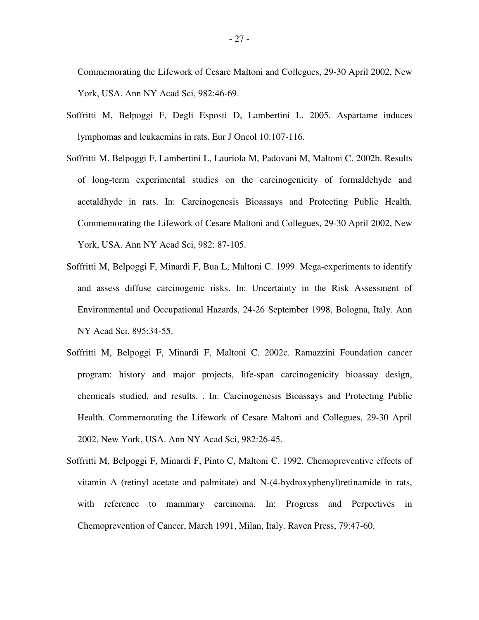Commemorating the Lifework of Cesare Maltoni and Collegues, 29-30 April 2002, New York, USA. Ann NY Acad Sci, 982:46-69.

- Soffritti M, Belpoggi F, Degli Esposti D, Lambertini L. 2005. Aspartame induces lymphomas and leukaemias in rats. Eur J Oncol 10:107-116.
- Soffritti M, Belpoggi F, Lambertini L, Lauriola M, Padovani M, Maltoni C. 2002b. Results of long-term experimental studies on the carcinogenicity of formaldehyde and acetaldhyde in rats. In: Carcinogenesis Bioassays and Protecting Public Health. Commemorating the Lifework of Cesare Maltoni and Collegues, 29-30 April 2002, New York, USA. Ann NY Acad Sci, 982: 87-105.
- Soffritti M, Belpoggi F, Minardi F, Bua L, Maltoni C. 1999. Mega-experiments to identify and assess diffuse carcinogenic risks. In: Uncertainty in the Risk Assessment of Environmental and Occupational Hazards, 24-26 September 1998, Bologna, Italy. Ann NY Acad Sci, 895:34-55.
- Soffritti M, Belpoggi F, Minardi F, Maltoni C. 2002c. Ramazzini Foundation cancer program: history and major projects, life-span carcinogenicity bioassay design, chemicals studied, and results. . In: Carcinogenesis Bioassays and Protecting Public Health. Commemorating the Lifework of Cesare Maltoni and Collegues, 29-30 April 2002, New York, USA. Ann NY Acad Sci, 982:26-45.
- Soffritti M, Belpoggi F, Minardi F, Pinto C, Maltoni C. 1992. Chemopreventive effects of vitamin A (retinyl acetate and palmitate) and N-(4-hydroxyphenyl)retinamide in rats, with reference to mammary carcinoma. In: Progress and Perpectives in Chemoprevention of Cancer, March 1991, Milan, Italy. Raven Press, 79:47-60.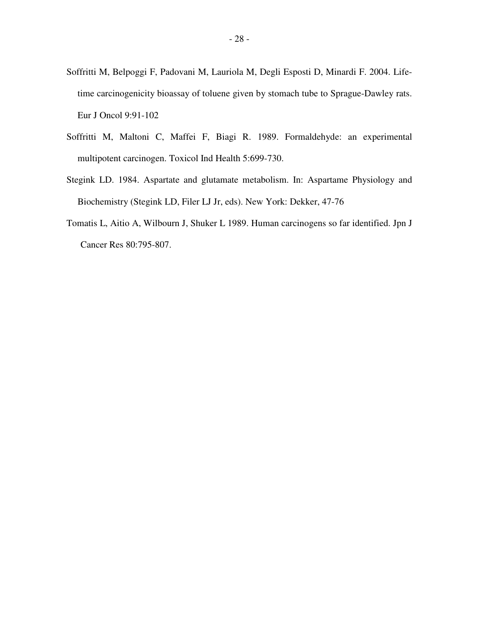- Soffritti M, Belpoggi F, Padovani M, Lauriola M, Degli Esposti D, Minardi F. 2004. Lifetime carcinogenicity bioassay of toluene given by stomach tube to Sprague-Dawley rats. Eur J Oncol 9:91-102
- Soffritti M, Maltoni C, Maffei F, Biagi R. 1989. Formaldehyde: an experimental multipotent carcinogen. Toxicol Ind Health 5:699-730.
- Stegink LD. 1984. Aspartate and glutamate metabolism. In: Aspartame Physiology and Biochemistry (Stegink LD, Filer LJ Jr, eds). New York: Dekker, 47-76
- Tomatis L, Aitio A, Wilbourn J, Shuker L 1989. Human carcinogens so far identified. Jpn J Cancer Res 80:795-807.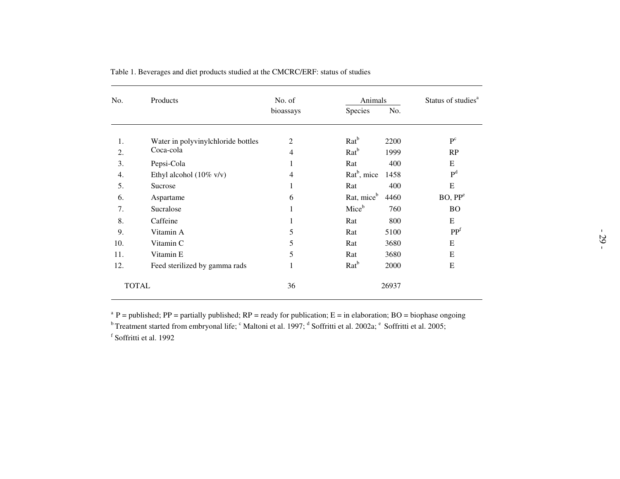| No. | Products                           | No. of         | Animals                 | Status of studies <sup>a</sup> |                     |  |
|-----|------------------------------------|----------------|-------------------------|--------------------------------|---------------------|--|
|     |                                    | bioassays      | Species                 | No.                            |                     |  |
| 1.  | Water in polyvinylchloride bottles | 2              | $Rat^b$                 | 2200                           | P <sup>c</sup>      |  |
| 2.  | Coca-cola                          | $\overline{4}$ | Rat <sup>b</sup>        | 1999                           | RP                  |  |
| 3.  | Pepsi-Cola                         | 1              | Rat                     | 400                            | E                   |  |
| 4.  | Ethyl alcohol $(10\% \text{ v/v})$ | 4              | Rat <sup>b</sup> , mice | 1458                           | P <sup>d</sup>      |  |
| 5.  | Sucrose                            | 1              | Rat                     | 400                            | E                   |  |
| 6.  | Aspartame                          | 6              | Rat, mice <sup>b</sup>  | 4460                           | BO, PP <sup>e</sup> |  |
| 7.  | Sucralose                          | $\mathbf{1}$   | Mice <sup>b</sup>       | 760                            | <b>BO</b>           |  |
| 8.  | Caffeine                           |                | Rat                     | 800                            | E                   |  |
| 9.  | Vitamin A                          | 5              | Rat                     | 5100                           | PP <sup>f</sup>     |  |
| 10. | Vitamin C                          | 5              | Rat                     | 3680                           | E                   |  |
| 11. | Vitamin E                          | 5              | Rat                     | 3680                           | E                   |  |
| 12. | Feed sterilized by gamma rads      | 1              | $Rat^b$                 | 2000                           | E                   |  |
|     | <b>TOTAL</b>                       | 36             |                         | 26937                          |                     |  |

Table 1. Beverages and diet products studied at the CMCRC/ERF: status of studies

<sup>a</sup> P = published; PP = partially published; RP = ready for publication; E = in elaboration; BO = biophase ongoing<br><sup>b</sup> Treatment started from embryonal life; <sup>c</sup> Maltoni et al. 1997; <sup>d</sup> Soffritti et al. 2002a; <sup>e</sup> Soffri

<sup>f</sup> Soffritti et al. 1992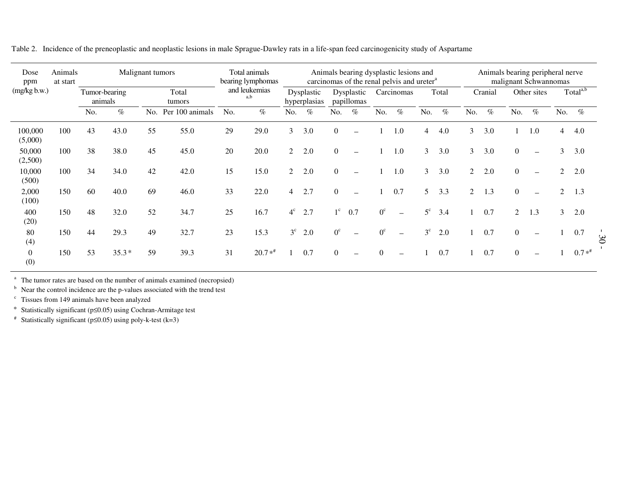| Dose<br>ppm             | Animals<br>at start |                          | Malignant tumors |     |                 | Total animals<br>bearing lymphomas<br>and leukemias<br>a,b |          |                            |      |                          |                   |             | Animals bearing dysplastic lesions and<br>carcinomas of the renal pelvis and ureter <sup>a</sup> | Animals bearing peripheral nerve<br>malignant Schwannomas |      |                |      |             |                          |                      |         |                |
|-------------------------|---------------------|--------------------------|------------------|-----|-----------------|------------------------------------------------------------|----------|----------------------------|------|--------------------------|-------------------|-------------|--------------------------------------------------------------------------------------------------|-----------------------------------------------------------|------|----------------|------|-------------|--------------------------|----------------------|---------|----------------|
| (mg/kg b.w.)            |                     | Tumor-bearing<br>animals |                  |     | Total<br>tumors |                                                            |          | Dysplastic<br>hyperplasias |      | Dysplastic<br>papillomas |                   | Carcinomas  |                                                                                                  | Total                                                     |      | Cranial        |      | Other sites |                          | Total <sup>a,b</sup> |         |                |
|                         |                     | No.                      | $\%$             | No. | Per 100 animals | No.                                                        | $\%$     | No.                        | $\%$ | No.                      | $\%$              | No.         | $\%$                                                                                             | No.                                                       | $\%$ | No.            | $\%$ | No.         | $\%$                     | No.                  | $\%$    |                |
| 100,000<br>(5,000)      | 100                 | 43                       | 43.0             | 55  | 55.0            | 29                                                         | 29.0     | 3                          | 3.0  | $\Omega$                 |                   |             | 1.0                                                                                              | $\overline{4}$                                            | 4.0  | 3              | 3.0  |             | 1.0                      | $\overline{4}$       | 4.0     |                |
| 50,000<br>(2,500)       | 100                 | 38                       | 38.0             | 45  | 45.0            | 20                                                         | 20.0     | 2                          | 2.0  | $\theta$                 | $\qquad \qquad$   |             | 1.0                                                                                              | 3                                                         | 3.0  | 3              | 3.0  | $\Omega$    | $\overline{\phantom{0}}$ | 3                    | 3.0     |                |
| 10,000<br>(500)         | 100                 | 34                       | 34.0             | 42  | 42.0            | 15                                                         | 15.0     | 2                          | 2.0  | $\Omega$                 |                   |             | 1.0                                                                                              | $\mathfrak{Z}$                                            | 3.0  | $\overline{2}$ | 2.0  | $\Omega$    |                          | $\mathfrak{D}$       | 2.0     |                |
| 2,000<br>(100)          | 150                 | 60                       | 40.0             | 69  | 46.0            | 33                                                         | 22.0     | $\overline{4}$             | 2.7  | $\Omega$                 | $\qquad \qquad$   |             | 0.7                                                                                              | 5                                                         | 3.3  | $\overline{2}$ | 1.3  | $\Omega$    |                          | $\mathcal{D}$        | 1.3     |                |
| 400<br>(20)             | 150                 | 48                       | 32.0             | 52  | 34.7            | 25                                                         | 16.7     | $4^{\circ}$                | 2.7  | $1^{\circ}$              | 0.7               | $0^{\circ}$ | $\equiv$                                                                                         | $5^{\circ}$                                               | 3.4  |                | 0.7  | 2           | 1.3                      | 3                    | 2.0     |                |
| 80<br>(4)               | 150                 | 44                       | 29.3             | 49  | 32.7            | 23                                                         | 15.3     | $3^{\circ}$                | 2.0  | $0^{\circ}$              | $\qquad \qquad -$ | $0^{\circ}$ | $\overline{\phantom{0}}$                                                                         | $3^{\circ}$                                               | 2.0  |                | 0.7  | $\theta$    | $\overline{\phantom{0}}$ |                      | 0.7     | $\mathfrak{S}$ |
| $\boldsymbol{0}$<br>(0) | 150                 | 53                       | $35.3*$          | 59  | 39.3            | 31                                                         | $20.7**$ |                            | 0.7  | $\Omega$                 |                   | $\theta$    |                                                                                                  |                                                           | 0.7  |                | 0.7  | $\Omega$    |                          |                      | $0.7**$ |                |

Table 2. Incidence of the preneoplastic and neoplastic lesions in male Sprague-Dawley rats in <sup>a</sup> life-span feed carcinogenicity study of Aspartame

<sup>a</sup> The tumor rates are based on the number of animals examined (necropsied)

<sup>b</sup> Near the control incidence are the p-values associated with the trend test

 $\epsilon$  Tissues from 149 animals have been analyzed

\* Statistically significant (p≤0.05) using Cochran-Armitage test

# Statistically significant (p≤0.05) using poly-k-test (k=3)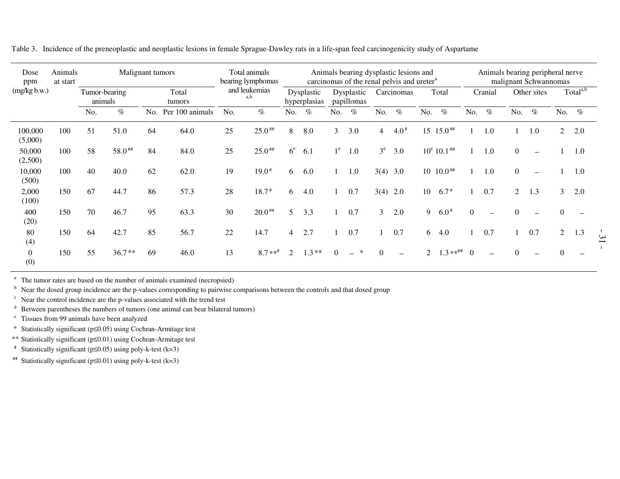| Dose<br>ppm             | Animals<br>at start | Malignant tumors         |          |                 |                 | Total animals<br>bearing lymphomas |           |                            |         |                          | Animals bearing dysplastic lesions and<br>carcinomas of the renal pelvis and ureter <sup>a</sup> |                | Animals bearing peripheral nerve<br>malignant Schwannomas |                |                     |                |                          |                |                          |                      |      |
|-------------------------|---------------------|--------------------------|----------|-----------------|-----------------|------------------------------------|-----------|----------------------------|---------|--------------------------|--------------------------------------------------------------------------------------------------|----------------|-----------------------------------------------------------|----------------|---------------------|----------------|--------------------------|----------------|--------------------------|----------------------|------|
| (mg/kg b.w.)            |                     | Tumor-bearing<br>animals |          | Total<br>tumors |                 | and leukemias<br>a,b               |           | Dysplastic<br>hyperplasias |         | Dysplastic<br>papillomas |                                                                                                  | Carcinomas     |                                                           | Total          |                     | Cranial        |                          | Other sites    |                          | Total <sup>a,b</sup> |      |
|                         |                     | No.                      | $\%$     | No.             | Per 100 animals | No.                                | $\%$      | No.                        | $\%$    | No.                      | $\%$                                                                                             | No.            | $\%$                                                      | No.            | $\%$                | No.            | $\%$                     | No.            | $\%$                     | No.                  | $\%$ |
| 100,000<br>(5,000)      | 100                 | 51                       | 51.0     | 64              | 64.0            | 25                                 | $25.0$ ## | 8                          | 8.0     | 3                        | 3.0                                                                                              | 4              | $4.0*$                                                    | 15             | $15.0$ ##           |                | 1.0                      |                | 1.0                      | $\overline{2}$       | 2.0  |
| 50,000<br>(2,500)       | 100                 | 58                       | 58.0##   | 84              | 84.0            | 25                                 | $25.0$ ## | 6 <sup>e</sup>             | 6.1     | $1^e$                    | 1.0                                                                                              | $3^e$          | 3.0                                                       |                | $10^e$ 10.1 $^{**}$ |                | 1.0                      | $\Omega$       | $\overline{\phantom{m}}$ |                      | 1.0  |
| 10,000<br>(500)         | 100                 | 40                       | 40.0     | 62              | 62.0            | 19                                 | $19.0*$   | 6                          | 6.0     |                          | 1.0                                                                                              | $3(4)$ 3.0     |                                                           |                | $10 \t10.0$ ##      |                | 1.0                      | $\mathbf{0}$   |                          |                      | 1.0  |
| 2,000<br>(100)          | 150                 | 67                       | 44.7     | 86              | 57.3            | 28                                 | $18.7*$   | 6                          | 4.0     |                          | 0.7                                                                                              | 3(4)           | 2.0                                                       | 10             | $6.7*$              |                | 0.7                      | $\overline{2}$ | 1.3                      | $\mathfrak{Z}$       | 2.0  |
| 400<br>(20)             | 150                 | 70                       | 46.7     | 95              | 63.3            | 30                                 | $20.0***$ | 5                          | 3.3     |                          | 0.7                                                                                              | $\mathfrak{Z}$ | 2.0                                                       | 9              | $6.0*$              | $\Omega$       | $\overline{\phantom{0}}$ | $\Omega$       |                          | $\Omega$             |      |
| 80<br>(4)               | 150                 | 64                       | 42.7     | 85              | 56.7            | 22                                 | 14.7      | 4                          | 2.7     |                          | 0.7                                                                                              |                | 0.7                                                       | 6              | 4.0                 |                | 0.7                      |                | 0.7                      | $\overline{2}$       | 1.3  |
| $\boldsymbol{0}$<br>(0) | 150                 | 55                       | $36.7**$ | 69              | 46.0            | 13                                 | $8.7**$   | $\mathfrak{D}$             | $1.3**$ | $\Omega$                 | ∗                                                                                                | $\Omega$       |                                                           | $\mathfrak{D}$ | $1.3***$ ##         | $\overline{0}$ | $\overline{\phantom{0}}$ | $\Omega$       |                          |                      |      |

- 3 1 -

Table 3. Incidence of the preneoplastic and neoplastic lesions in female Sprague-Dawley rats in <sup>a</sup> life-span feed carcinogenicity study of Aspartame

<sup>a</sup> The tumor rates are based on the number of animals examined (necropsied)

 $<sup>b</sup>$  Near the dosed group incidence are the p-values corresponding to pairwise comparisons between the controls and that dosed group</sup>

 $\epsilon$  Near the control incidence are the p-values associated with the trend test

<sup>d</sup> Between parentheses the numbers of tumors (one animal can bear bilateral tumors)

e Tissues from 99 animals have been analyzed

\* Statistically significant (p≤0.05) using Cochran-Armitage test

\*\* Statistically significant (p≤0.01) using Cochran-Armitage test

# Statistically significant (p≤0.05) using poly-k-test (k=3)

## Statistically significant ( $p≤0.01$ ) using poly-k-test (k=3)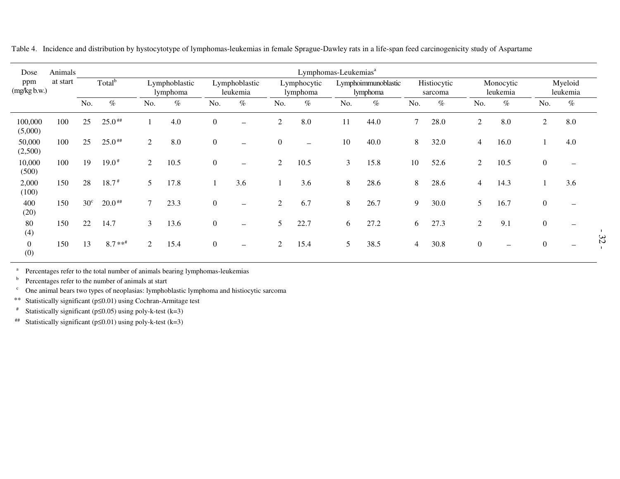| Dose                    | Animals  |                    | Lymphomas-Leukemias <sup>a</sup> |                           |      |                           |                          |                         |                          |     |                                 |                |                        |                |                          |                  |                          |
|-------------------------|----------|--------------------|----------------------------------|---------------------------|------|---------------------------|--------------------------|-------------------------|--------------------------|-----|---------------------------------|----------------|------------------------|----------------|--------------------------|------------------|--------------------------|
| ppm<br>(mg/kg b.w.)     | at start | Total <sup>b</sup> |                                  | Lymphoblastic<br>lymphoma |      | Lymphoblastic<br>leukemia |                          | Lymphocytic<br>lymphoma |                          |     | Lymphoimmunoblastic<br>lymphoma |                | Histiocytic<br>sarcoma |                | Monocytic<br>leukemia    |                  | Myeloid<br>leukemia      |
|                         |          | No.                | $\%$                             | No.                       | $\%$ | No.                       | $\%$                     | No.                     | $\%$                     | No. | $\%$                            | No.            | $\%$                   | No.            | $\%$                     | No.              | $\%$                     |
| 100,000<br>(5,000)      | 100      | 25                 | $25.0$ ##                        |                           | 4.0  | $\boldsymbol{0}$          | $\overline{\phantom{0}}$ | $\overline{c}$          | 8.0                      | 11  | 44.0                            | $\mathcal{I}$  | 28.0                   | $\overline{2}$ | 8.0                      | 2                | 8.0                      |
| 50,000<br>(2,500)       | 100      | 25                 | $25.0$ ##                        | 2                         | 8.0  | $\boldsymbol{0}$          | $\overline{\phantom{0}}$ | $\boldsymbol{0}$        | $\overline{\phantom{0}}$ | 10  | 40.0                            | 8              | 32.0                   | $\overline{4}$ | 16.0                     |                  | 4.0                      |
| 10,000<br>(500)         | 100      | 19                 | $19.0*$                          | $\overline{2}$            | 10.5 | $\mathbf{0}$              | $\overline{\phantom{m}}$ | 2                       | 10.5                     | 3   | 15.8                            | 10             | 52.6                   | $\overline{2}$ | 10.5                     | $\boldsymbol{0}$ |                          |
| 2,000<br>(100)          | 150      | 28                 | $18.7*$                          | 5                         | 17.8 |                           | 3.6                      |                         | 3.6                      | 8   | 28.6                            | 8              | 28.6                   | $\overline{4}$ | 14.3                     |                  | 3.6                      |
| 400<br>(20)             | 150      | $30^{\circ}$       | $20.0$ ##                        | $\mathcal{I}$             | 23.3 | $\mathbf{0}$              | $\overline{\phantom{m}}$ | $\overline{2}$          | 6.7                      | 8   | 26.7                            | 9              | 30.0                   | 5              | 16.7                     | $\boldsymbol{0}$ | $\overline{\phantom{a}}$ |
| 80<br>(4)               | 150      | 22                 | 14.7                             | 3                         | 13.6 | $\mathbf{0}$              | $\overline{\phantom{m}}$ | 5                       | 22.7                     | 6   | 27.2                            | 6              | 27.3                   | $\overline{2}$ | 9.1                      | $\boldsymbol{0}$ |                          |
| $\boldsymbol{0}$<br>(0) | 150      | 13                 | $8.7**$                          | $\overline{2}$            | 15.4 | $\overline{0}$            | $\overline{\phantom{m}}$ | $\overline{2}$          | 15.4                     | 5   | 38.5                            | $\overline{4}$ | 30.8                   | $\overline{0}$ | $\overline{\phantom{m}}$ | $\boldsymbol{0}$ |                          |

Table 4. Incidence and distribution by hystocytotype of lymphomas-leukemias in female Sprague-Dawley rats in <sup>a</sup> life-span feed carcinogenicity study of Aspartame

a<sup>a</sup> Percentages refer to the total number of animals bearing lymphomas-leukemias

b<sup>9</sup> Percentages refer to the number of animals at start

c $\epsilon$  One animal bears two types of neoplasias: lymphoblastic lymphoma and histiocytic sarcoma

\*\*Statistically significant (p≤0.01) using Cochran-Armitage test

#Statistically significant ( $p \le 0.05$ ) using poly-k-test (k=3)

##Statistically significant ( $p \le 0.01$ ) using poly-k-test (k=3)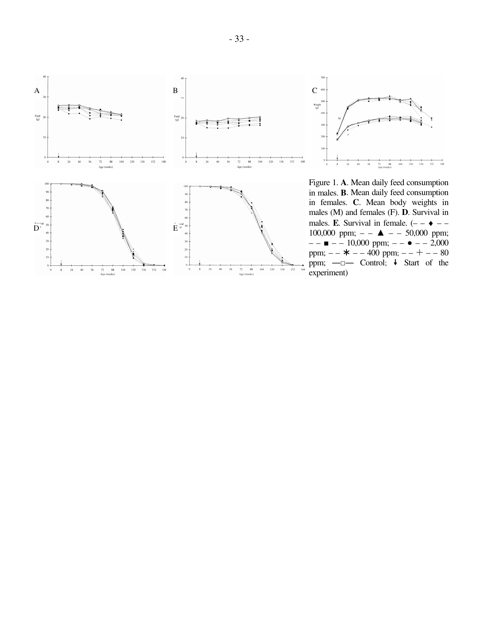



Figure 1. **A**. Mean daily feed consumption in males. **B**. Mean daily feed consumption in females. **C**. Mean body weights in males (M) and females (F). **D**. Survival in males. **E**. Survival in female.  $(- - \cdot -$ 100,000 ppm;  $- - \blacktriangle - - 50,000$  ppm;  $- - -10,000$  ppm;  $- - -2,000$ ppm;  $- \ast$   $- - 400$  ppm;  $- - + - - 80$ ppm;  $-\square$  Control;  $\downarrow$  Start of the experiment)